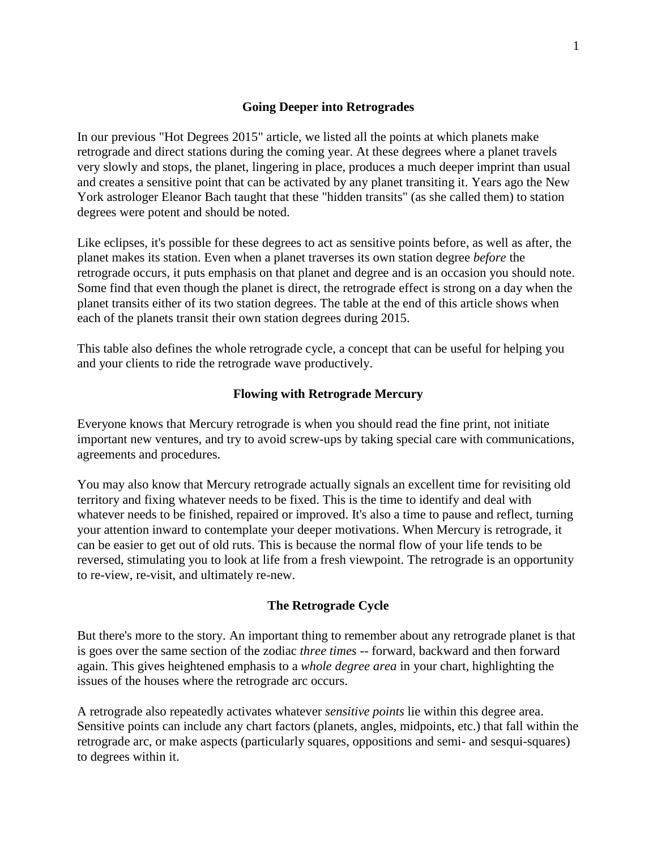## **Going Deeper into Retrogrades**

In our previous "Hot Degrees 2015" article, we listed all the points at which planets make retrograde and direct stations during the coming year. At these degrees where a planet travels very slowly and stops, the planet, lingering in place, produces a much deeper imprint than usual and creates a sensitive point that can be activated by any planet transiting it. Years ago the New York astrologer Eleanor Bach taught that these "hidden transits" (as she called them) to station degrees were potent and should be noted.

Like eclipses, it's possible for these degrees to act as sensitive points before, as well as after, the planet makes its station. Even when a planet traverses its own station degree *before* the retrograde occurs, it puts emphasis on that planet and degree and is an occasion you should note. Some find that even though the planet is direct, the retrograde effect is strong on a day when the planet transits either of its two station degrees. The table at the end of this article shows when each of the planets transit their own station degrees during 2015.

This table also defines the whole retrograde cycle, a concept that can be useful for helping you and your clients to ride the retrograde wave productively.

### **Flowing with Retrograde Mercury**

Everyone knows that Mercury retrograde is when you should read the fine print, not initiate important new ventures, and try to avoid screw-ups by taking special care with communications, agreements and procedures.

You may also know that Mercury retrograde actually signals an excellent time for revisiting old territory and fixing whatever needs to be fixed. This is the time to identify and deal with whatever needs to be finished, repaired or improved. It's also a time to pause and reflect, turning your attention inward to contemplate your deeper motivations. When Mercury is retrograde, it can be easier to get out of old ruts. This is because the normal flow of your life tends to be reversed, stimulating you to look at life from a fresh viewpoint. The retrograde is an opportunity to re-view, re-visit, and ultimately re-new.

### **The Retrograde Cycle**

But there's more to the story. An important thing to remember about any retrograde planet is that is goes over the same section of the zodiac *three times* -- forward, backward and then forward again. This gives heightened emphasis to a *whole degree area* in your chart, highlighting the issues of the houses where the retrograde arc occurs.

A retrograde also repeatedly activates whatever *sensitive points* lie within this degree area. Sensitive points can include any chart factors (planets, angles, midpoints, etc.) that fall within the retrograde arc, or make aspects (particularly squares, oppositions and semi- and sesqui-squares) to degrees within it.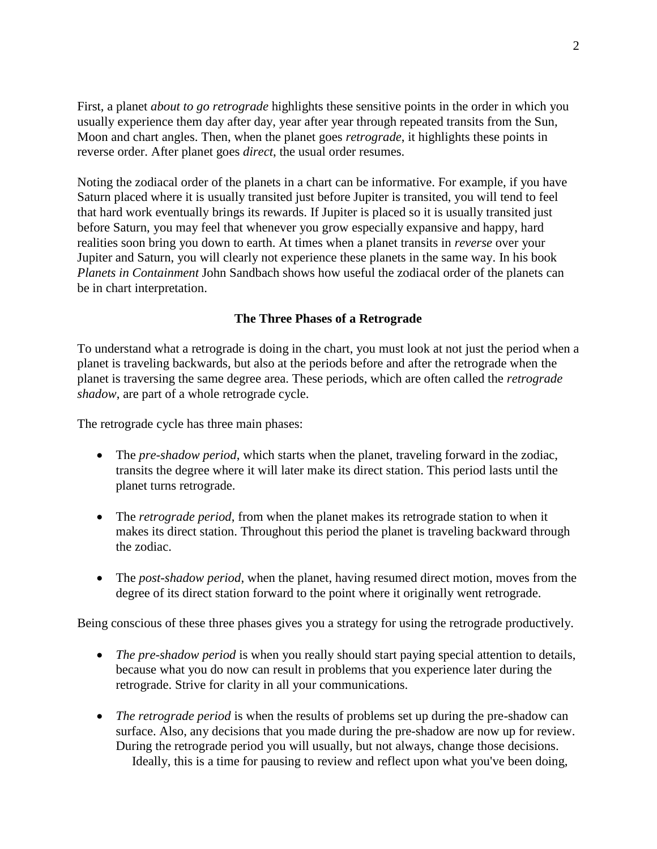First, a planet *about to go retrograde* highlights these sensitive points in the order in which you usually experience them day after day, year after year through repeated transits from the Sun, Moon and chart angles. Then, when the planet goes *retrograde*, it highlights these points in reverse order. After planet goes *direct*, the usual order resumes.

Noting the zodiacal order of the planets in a chart can be informative. For example, if you have Saturn placed where it is usually transited just before Jupiter is transited, you will tend to feel that hard work eventually brings its rewards. If Jupiter is placed so it is usually transited just before Saturn, you may feel that whenever you grow especially expansive and happy, hard realities soon bring you down to earth. At times when a planet transits in *reverse* over your Jupiter and Saturn, you will clearly not experience these planets in the same way. In his book *Planets in Containment* John Sandbach shows how useful the zodiacal order of the planets can be in chart interpretation.

## **The Three Phases of a Retrograde**

To understand what a retrograde is doing in the chart, you must look at not just the period when a planet is traveling backwards, but also at the periods before and after the retrograde when the planet is traversing the same degree area. These periods, which are often called the *retrograde shadow*, are part of a whole retrograde cycle.

The retrograde cycle has three main phases:

- The *pre-shadow period*, which starts when the planet, traveling forward in the zodiac, transits the degree where it will later make its direct station. This period lasts until the planet turns retrograde.
- The *retrograde period*, from when the planet makes its retrograde station to when it makes its direct station. Throughout this period the planet is traveling backward through the zodiac.
- The *post-shadow period*, when the planet, having resumed direct motion, moves from the degree of its direct station forward to the point where it originally went retrograde.

Being conscious of these three phases gives you a strategy for using the retrograde productively.

- *The pre-shadow period* is when you really should start paying special attention to details, because what you do now can result in problems that you experience later during the retrograde. Strive for clarity in all your communications.
- *The retrograde period* is when the results of problems set up during the pre-shadow can surface. Also, any decisions that you made during the pre-shadow are now up for review. During the retrograde period you will usually, but not always, change those decisions. Ideally, this is a time for pausing to review and reflect upon what you've been doing,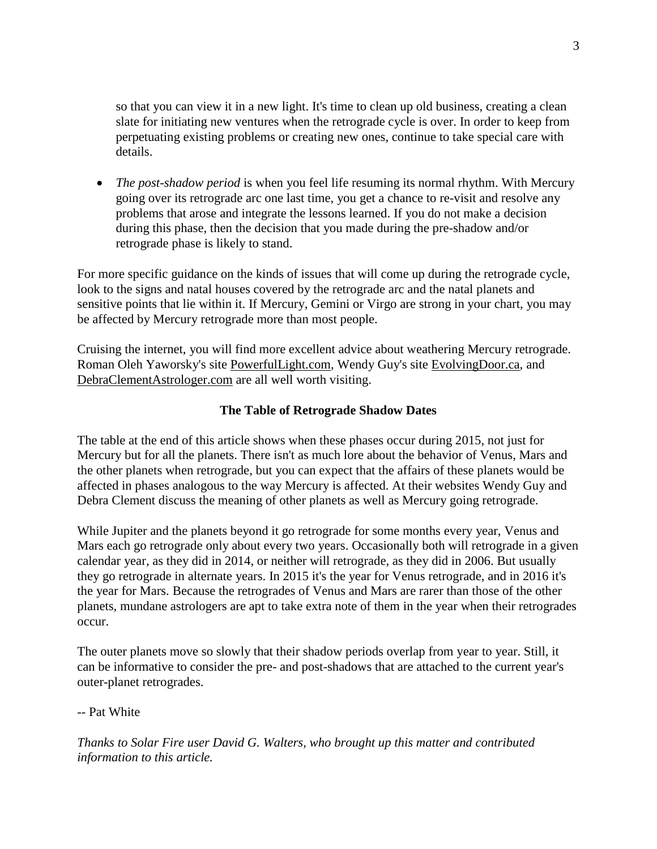so that you can view it in a new light. It's time to clean up old business, creating a clean slate for initiating new ventures when the retrograde cycle is over. In order to keep from perpetuating existing problems or creating new ones, continue to take special care with details.

• *The post-shadow period* is when you feel life resuming its normal rhythm. With Mercury going over its retrograde arc one last time, you get a chance to re-visit and resolve any problems that arose and integrate the lessons learned. If you do not make a decision during this phase, then the decision that you made during the pre-shadow and/or retrograde phase is likely to stand.

For more specific guidance on the kinds of issues that will come up during the retrograde cycle, look to the signs and natal houses covered by the retrograde arc and the natal planets and sensitive points that lie within it. If Mercury, Gemini or Virgo are strong in your chart, you may be affected by Mercury retrograde more than most people.

Cruising the internet, you will find more excellent advice about weathering Mercury retrograde. Roman Oleh Yaworsky's site PowerfulLight.com, Wendy Guy's site EvolvingDoor.ca, and DebraClementAstrologer.com are all well worth visiting.

# **The Table of Retrograde Shadow Dates**

The table at the end of this article shows when these phases occur during 2015, not just for Mercury but for all the planets. There isn't as much lore about the behavior of Venus, Mars and the other planets when retrograde, but you can expect that the affairs of these planets would be affected in phases analogous to the way Mercury is affected. At their websites Wendy Guy and Debra Clement discuss the meaning of other planets as well as Mercury going retrograde.

While Jupiter and the planets beyond it go retrograde for some months every year, Venus and Mars each go retrograde only about every two years. Occasionally both will retrograde in a given calendar year, as they did in 2014, or neither will retrograde, as they did in 2006. But usually they go retrograde in alternate years. In 2015 it's the year for Venus retrograde, and in 2016 it's the year for Mars. Because the retrogrades of Venus and Mars are rarer than those of the other planets, mundane astrologers are apt to take extra note of them in the year when their retrogrades occur.

The outer planets move so slowly that their shadow periods overlap from year to year. Still, it can be informative to consider the pre- and post-shadows that are attached to the current year's outer-planet retrogrades.

# -- Pat White

*Thanks to Solar Fire user David G. Walters, who brought up this matter and contributed information to this article.*